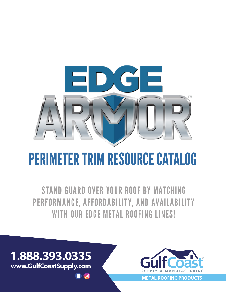

# PERIMETER TRIM RESOURCE CATALOG

STAND GUARD OVER YOUR ROOF BY MATCHING PERFORMANCE, AFFORDABILITY, AND AVAILABILITY WITH OUR EDGE METAL ROOFING LINES!



**METAL ROOFING PRODUCTS**

**1.888.393.0335 www.GulfCoastSupply.com**

**n** 0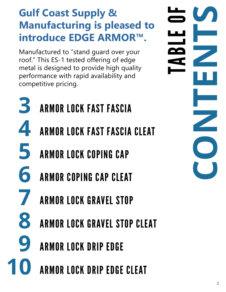# **Gulf Coast Supply & Manufacturing is pleased to introduce EDGE ARMOR™.**

Manufactured to "stand guard over your roof." This ES-1 tested offering of edge metal is designed to provide high quality performance with rapid availability and competitive pricing.

- **3 4 5 6** ARMOR LOCK FAST FASCIA ARMOR LOCK FAST FASCIA CLEAT ARMOR LOCK COPING CAP ARMOR COPING CAP CLEAT
- **7** ARMOR LOCK GRAVEL STOP
- **8** ARMOR LOCK GRAVEL STOP CLEAT
- **9** ARMOR LOCK DRIP EDGE
- **10** ARMOR LOCK DRIP EDGE CLEAT

2**CONTENTS** TABLE OF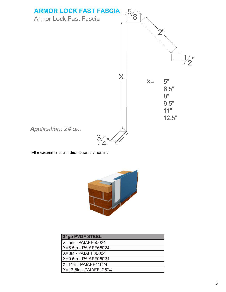



| 24ga PVDF STEEL        |
|------------------------|
| X=5in - PAIAFF50024    |
| X=6.5in - PAIAFF65024  |
| X=8in - PAIAFF80024    |
| X=9.5in - PAIAFF95024  |
| X=11in - PAIAFF11024   |
| X=12.5in - PAIAFF12524 |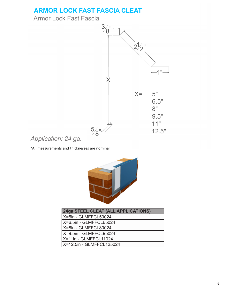## **ARMOR LOCK FAST FASCIA CLEAT ARMOR LOCK FAST FASCIA CLEAT**

Armor Lock Fast Fascia



### *Application: 24 ga. Application: 24 ga.*



| 24ga STEEL CLEAT (ALL APPLICATIONS) |
|-------------------------------------|
| X=5in - GLMFFCL50024                |
| X=6.5in - GLMFFCL65024              |
| X=8in - GLMFFCL80024                |
| X=9.5in - GLMFFCL95024              |
| X=11in - GLMFFCL11024               |
| X=12.5in - GLMFFCL125024            |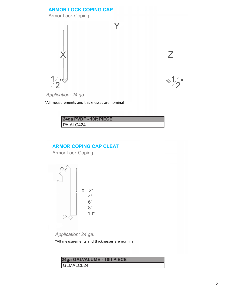#### **ARMOR LOCK COPING CAP ARMOR LOCK**

Armor Lock Coping Armor Lock



*Application: 24 ga.*

\*All measurements and thicknesses are nominal

| 24ga PVDF - 10ft PIECE |  |
|------------------------|--|
| PAIALC424              |  |

#### **ARMOR COPING CAP CLEAT ARMOR COPING CLEAT**

Armor Lock Coping Armor Lock Coping



*Application: 24 ga.*

| 24ga GALVALUME - 10ft PIECE |
|-----------------------------|
| GLMALCL24                   |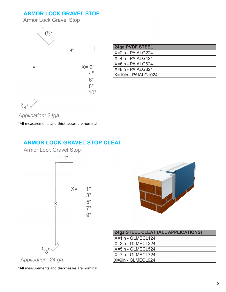#### **ARMOR LOCK GRAVEL STOP ARMOR LOCK GRAVEL STOP**

Armor Lock Gravel Stop Armor Lock Gravel



| 24ga PVDF STEEL     |  |
|---------------------|--|
| l X=2in - PAIALG224 |  |
| X=4in - PAIALG424   |  |
| X=6in - PAIALG624   |  |
| X=8in - PAIALG824   |  |
| X=10in - PAIALG1024 |  |

*Application: 0.040 Aluminum Application: 24ga.*

\*All measurements and thicknesses are nominal

#### **ARMOR LOCK GRAVEL STOP CLEAT ARMOR LOCK GRAVEL STOP CLEAT**

Armor Lock Gravel Stop Armor Lock Gravel Stop





| <b>24ga STEEL CLEAT (ALL APPLICATIONS)</b> |
|--------------------------------------------|
| X=1in - GLMECL124                          |
| X=3in - GLMECL324                          |
| X=5in - GLMECL524                          |
| X=7in - GLMECL724                          |
| X=9in - GLMECL924                          |

*Application: 24 ga. Application: 24 ga.*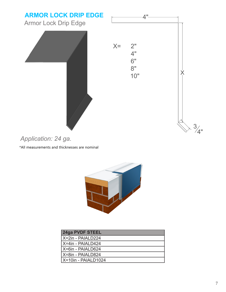

# *Application: 0.040 Aluminum Application: 24 ga.*



| 24ga PVDF STEEL     |  |
|---------------------|--|
| l X=2in - PAIALD224 |  |
| X=4in - PAIALD424   |  |
| I X=6in - PAIALD624 |  |
| X=8in - PAIALD824   |  |
| X=10in - PAIALD1024 |  |